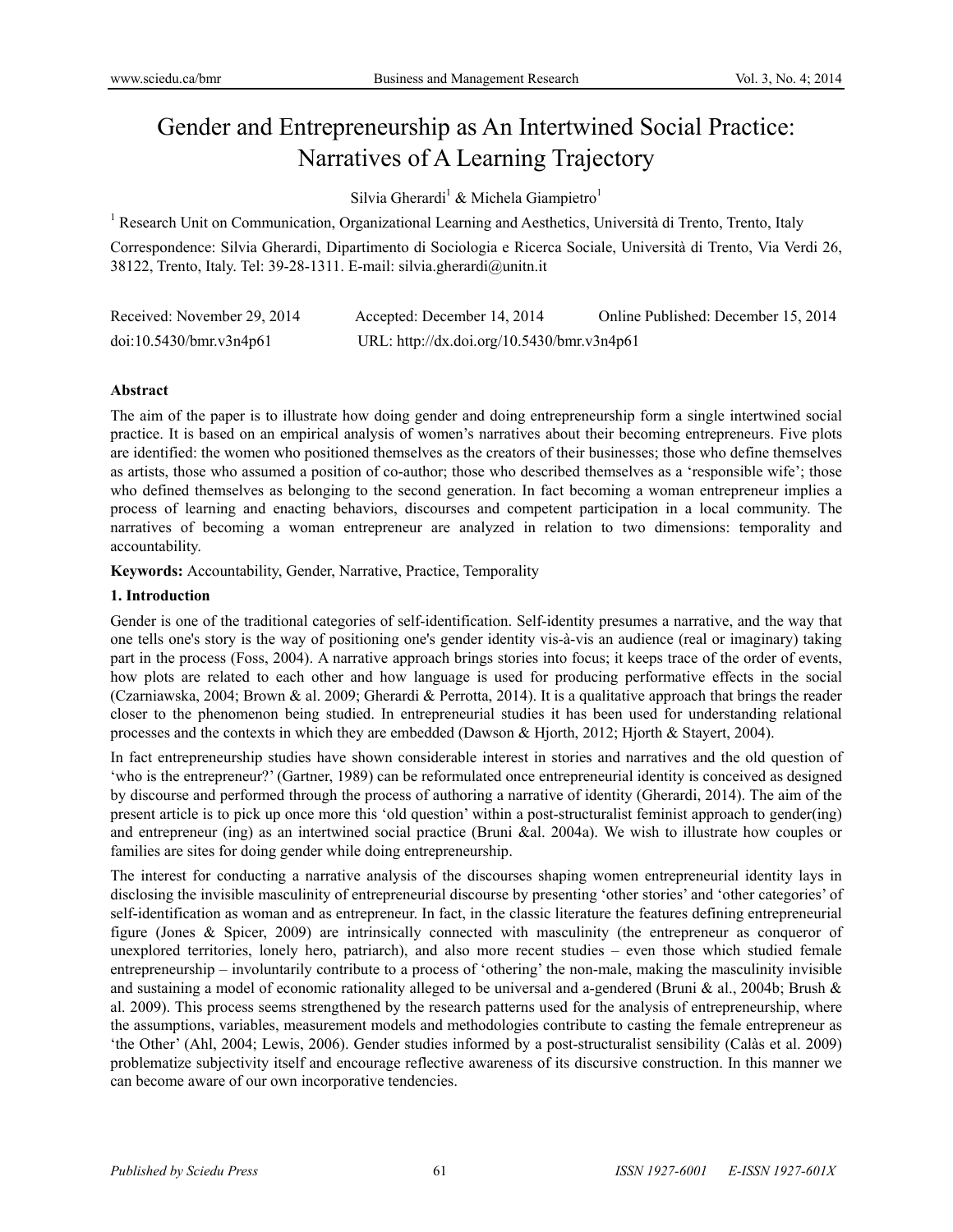# Gender and Entrepreneurship as An Intertwined Social Practice: Narratives of A Learning Trajectory

Silvia Gherardi<sup>1</sup> & Michela Giampietro<sup>1</sup>

<sup>1</sup> Research Unit on Communication, Organizational Learning and Aesthetics, Università di Trento, Trento, Italy

Correspondence: Silvia Gherardi, Dipartimento di Sociologia e Ricerca Sociale, Università di Trento, Via Verdi 26, 38122, Trento, Italy. Tel: 39-28-1311. E-mail: silvia.gherardi@unitn.it

| Received: November 29, 2014 | Accepted: December 14, 2014                | Online Published: December 15, 2014 |
|-----------------------------|--------------------------------------------|-------------------------------------|
| doi:10.5430/bmr.v3n4p61     | URL: http://dx.doi.org/10.5430/bmr.v3n4p61 |                                     |

#### **Abstract**

The aim of the paper is to illustrate how doing gender and doing entrepreneurship form a single intertwined social practice. It is based on an empirical analysis of women's narratives about their becoming entrepreneurs. Five plots are identified: the women who positioned themselves as the creators of their businesses; those who define themselves as artists, those who assumed a position of co-author; those who described themselves as a 'responsible wife'; those who defined themselves as belonging to the second generation. In fact becoming a woman entrepreneur implies a process of learning and enacting behaviors, discourses and competent participation in a local community. The narratives of becoming a woman entrepreneur are analyzed in relation to two dimensions: temporality and accountability.

**Keywords:** Accountability, Gender, Narrative, Practice, Temporality

#### **1. Introduction**

Gender is one of the traditional categories of self-identification. Self-identity presumes a narrative, and the way that one tells one's story is the way of positioning one's gender identity vis-à-vis an audience (real or imaginary) taking part in the process (Foss, 2004). A narrative approach brings stories into focus; it keeps trace of the order of events, how plots are related to each other and how language is used for producing performative effects in the social (Czarniawska, 2004; Brown & al. 2009; Gherardi & Perrotta, 2014). It is a qualitative approach that brings the reader closer to the phenomenon being studied. In entrepreneurial studies it has been used for understanding relational processes and the contexts in which they are embedded (Dawson & Hjorth, 2012; Hjorth & Stayert, 2004).

In fact entrepreneurship studies have shown considerable interest in stories and narratives and the old question of 'who is the entrepreneur?' (Gartner, 1989) can be reformulated once entrepreneurial identity is conceived as designed by discourse and performed through the process of authoring a narrative of identity (Gherardi, 2014). The aim of the present article is to pick up once more this 'old question' within a post-structuralist feminist approach to gender(ing) and entrepreneur (ing) as an intertwined social practice (Bruni &al. 2004a). We wish to illustrate how couples or families are sites for doing gender while doing entrepreneurship.

The interest for conducting a narrative analysis of the discourses shaping women entrepreneurial identity lays in disclosing the invisible masculinity of entrepreneurial discourse by presenting 'other stories' and 'other categories' of self-identification as woman and as entrepreneur. In fact, in the classic literature the features defining entrepreneurial figure (Jones & Spicer, 2009) are intrinsically connected with masculinity (the entrepreneur as conqueror of unexplored territories, lonely hero, patriarch), and also more recent studies – even those which studied female entrepreneurship – involuntarily contribute to a process of 'othering' the non-male, making the masculinity invisible and sustaining a model of economic rationality alleged to be universal and a-gendered (Bruni & al., 2004b; Brush & al. 2009). This process seems strengthened by the research patterns used for the analysis of entrepreneurship, where the assumptions, variables, measurement models and methodologies contribute to casting the female entrepreneur as 'the Other' (Ahl, 2004; Lewis, 2006). Gender studies informed by a post-structuralist sensibility (Calàs et al. 2009) problematize subjectivity itself and encourage reflective awareness of its discursive construction. In this manner we can become aware of our own incorporative tendencies.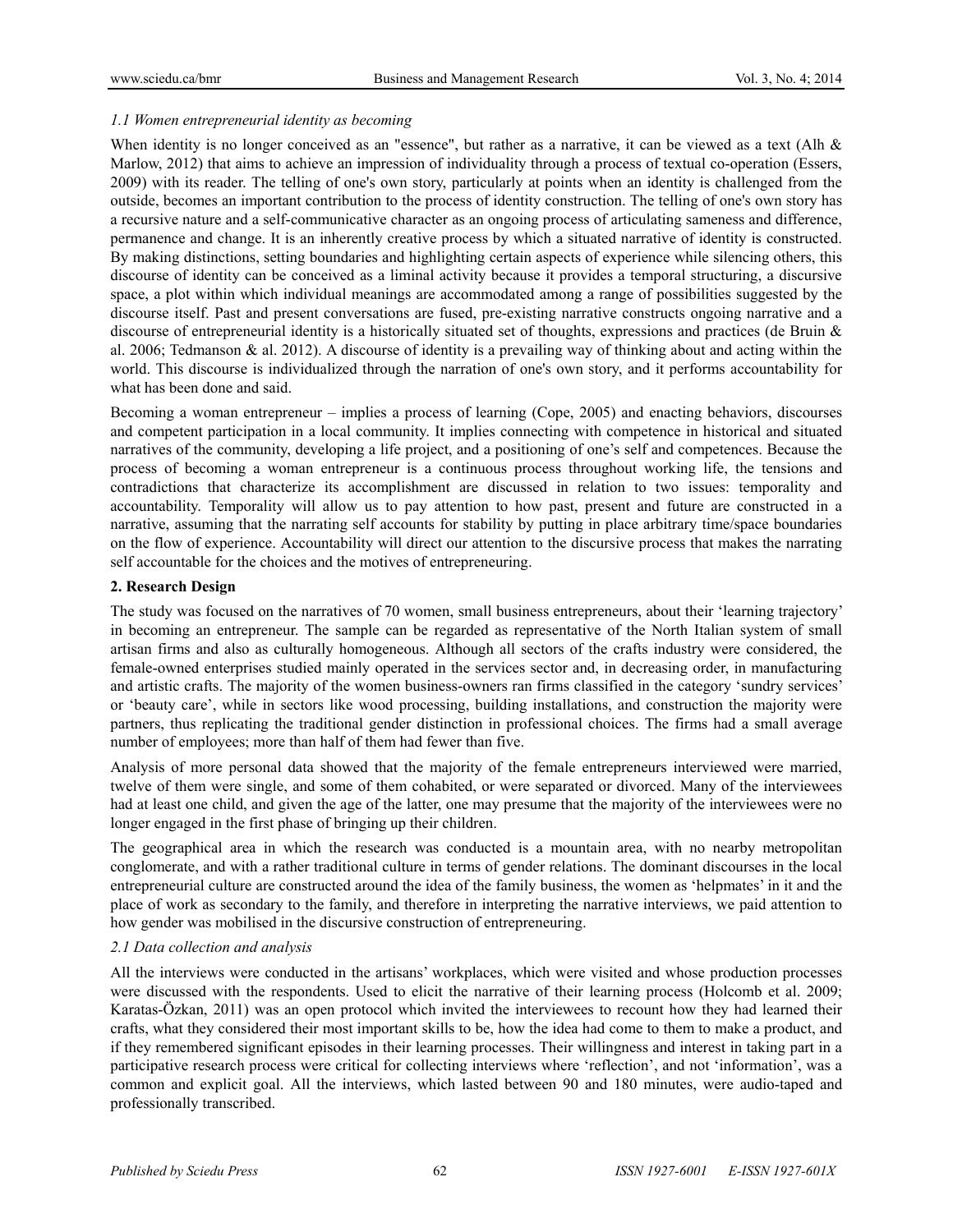## *1.1 Women entrepreneurial identity as becoming*

When identity is no longer conceived as an "essence", but rather as a narrative, it can be viewed as a text (Alh  $\&$ Marlow, 2012) that aims to achieve an impression of individuality through a process of textual co-operation (Essers, 2009) with its reader. The telling of one's own story, particularly at points when an identity is challenged from the outside, becomes an important contribution to the process of identity construction. The telling of one's own story has a recursive nature and a self-communicative character as an ongoing process of articulating sameness and difference, permanence and change. It is an inherently creative process by which a situated narrative of identity is constructed. By making distinctions, setting boundaries and highlighting certain aspects of experience while silencing others, this discourse of identity can be conceived as a liminal activity because it provides a temporal structuring, a discursive space, a plot within which individual meanings are accommodated among a range of possibilities suggested by the discourse itself. Past and present conversations are fused, pre-existing narrative constructs ongoing narrative and a discourse of entrepreneurial identity is a historically situated set of thoughts, expressions and practices (de Bruin & al. 2006; Tedmanson & al. 2012). A discourse of identity is a prevailing way of thinking about and acting within the world. This discourse is individualized through the narration of one's own story, and it performs accountability for what has been done and said.

Becoming a woman entrepreneur – implies a process of learning (Cope, 2005) and enacting behaviors, discourses and competent participation in a local community. It implies connecting with competence in historical and situated narratives of the community, developing a life project, and a positioning of one's self and competences. Because the process of becoming a woman entrepreneur is a continuous process throughout working life, the tensions and contradictions that characterize its accomplishment are discussed in relation to two issues: temporality and accountability. Temporality will allow us to pay attention to how past, present and future are constructed in a narrative, assuming that the narrating self accounts for stability by putting in place arbitrary time/space boundaries on the flow of experience. Accountability will direct our attention to the discursive process that makes the narrating self accountable for the choices and the motives of entrepreneuring.

### **2. Research Design**

The study was focused on the narratives of 70 women, small business entrepreneurs, about their 'learning trajectory' in becoming an entrepreneur. The sample can be regarded as representative of the North Italian system of small artisan firms and also as culturally homogeneous. Although all sectors of the crafts industry were considered, the female-owned enterprises studied mainly operated in the services sector and, in decreasing order, in manufacturing and artistic crafts. The majority of the women business-owners ran firms classified in the category 'sundry services' or 'beauty care', while in sectors like wood processing, building installations, and construction the majority were partners, thus replicating the traditional gender distinction in professional choices. The firms had a small average number of employees; more than half of them had fewer than five.

Analysis of more personal data showed that the majority of the female entrepreneurs interviewed were married, twelve of them were single, and some of them cohabited, or were separated or divorced. Many of the interviewees had at least one child, and given the age of the latter, one may presume that the majority of the interviewees were no longer engaged in the first phase of bringing up their children.

The geographical area in which the research was conducted is a mountain area, with no nearby metropolitan conglomerate, and with a rather traditional culture in terms of gender relations. The dominant discourses in the local entrepreneurial culture are constructed around the idea of the family business, the women as 'helpmates' in it and the place of work as secondary to the family, and therefore in interpreting the narrative interviews, we paid attention to how gender was mobilised in the discursive construction of entrepreneuring.

## *2.1 Data collection and analysis*

All the interviews were conducted in the artisans' workplaces, which were visited and whose production processes were discussed with the respondents. Used to elicit the narrative of their learning process (Holcomb et al. 2009; Karatas-Özkan, 2011) was an open protocol which invited the interviewees to recount how they had learned their crafts, what they considered their most important skills to be, how the idea had come to them to make a product, and if they remembered significant episodes in their learning processes. Their willingness and interest in taking part in a participative research process were critical for collecting interviews where 'reflection', and not 'information', was a common and explicit goal. All the interviews, which lasted between 90 and 180 minutes, were audio-taped and professionally transcribed.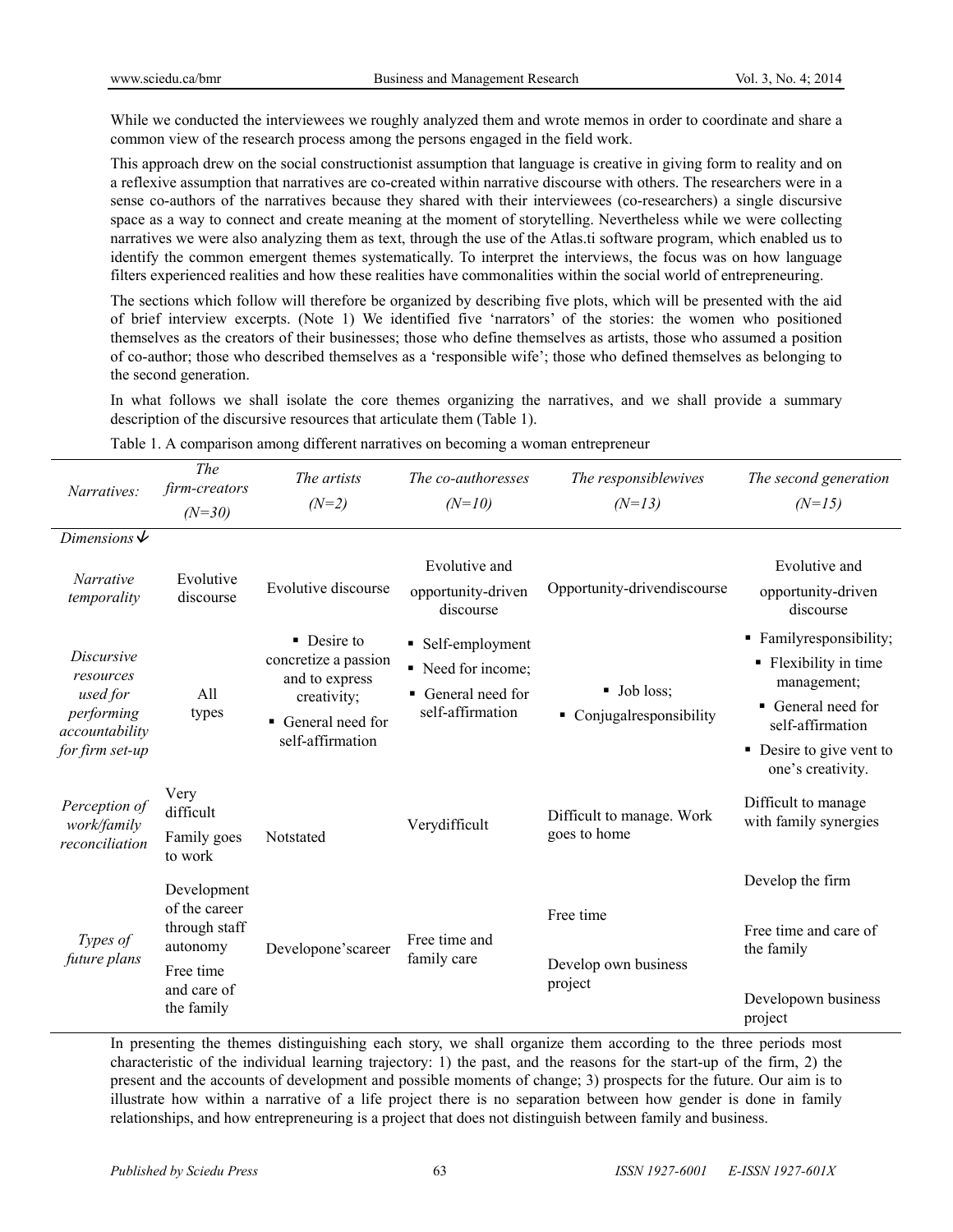While we conducted the interviewees we roughly analyzed them and wrote memos in order to coordinate and share a common view of the research process among the persons engaged in the field work.

This approach drew on the social constructionist assumption that language is creative in giving form to reality and on a reflexive assumption that narratives are co-created within narrative discourse with others. The researchers were in a sense co-authors of the narratives because they shared with their interviewees (co-researchers) a single discursive space as a way to connect and create meaning at the moment of storytelling. Nevertheless while we were collecting narratives we were also analyzing them as text, through the use of the Atlas.ti software program, which enabled us to identify the common emergent themes systematically. To interpret the interviews, the focus was on how language filters experienced realities and how these realities have commonalities within the social world of entrepreneuring.

The sections which follow will therefore be organized by describing five plots, which will be presented with the aid of brief interview excerpts. (Note 1) We identified five 'narrators' of the stories: the women who positioned themselves as the creators of their businesses; those who define themselves as artists, those who assumed a position of co-author; those who described themselves as a 'responsible wife'; those who defined themselves as belonging to the second generation.

In what follows we shall isolate the core themes organizing the narratives, and we shall provide a summary description of the discursive resources that articulate them (Table 1).

| Narratives:                                                                                   | The<br>firm-creators<br>$(N=30)$                                       | The artists<br>$(N=2)$                                                                                                      | The co-authoresses<br>$(N=10)$                                                    | The responsiblewives<br>$(N=13)$                      | The second generation<br>$(N=15)$                                                                                                                          |
|-----------------------------------------------------------------------------------------------|------------------------------------------------------------------------|-----------------------------------------------------------------------------------------------------------------------------|-----------------------------------------------------------------------------------|-------------------------------------------------------|------------------------------------------------------------------------------------------------------------------------------------------------------------|
| Dimensions $\mathcal V$                                                                       |                                                                        |                                                                                                                             |                                                                                   |                                                       |                                                                                                                                                            |
| <i>Narrative</i><br>temporality                                                               | Evolutive<br>discourse                                                 | Evolutive discourse                                                                                                         | Evolutive and<br>opportunity-driven<br>discourse                                  | Opportunity-drivendiscourse                           | Evolutive and<br>opportunity-driven<br>discourse                                                                                                           |
| <i>Discursive</i><br>resources<br>used for<br>performing<br>accountability<br>for firm set-up | All<br>types                                                           | $\blacksquare$ Desire to<br>concretize a passion<br>and to express<br>creativity;<br>• General need for<br>self-affirmation | • Self-employment<br>• Need for income;<br>• General need for<br>self-affirmation | $\blacksquare$ Job loss;<br>• Conjugal responsibility | • Familyresponsibility;<br>• Flexibility in time<br>management;<br>• General need for<br>self-affirmation<br>• Desire to give vent to<br>one's creativity. |
| Perception of<br>work/family<br>reconciliation                                                | Very<br>difficult<br>Family goes<br>to work                            | Notstated                                                                                                                   | Verydifficult                                                                     | Difficult to manage. Work<br>goes to home             | Difficult to manage<br>with family synergies                                                                                                               |
|                                                                                               | Development                                                            |                                                                                                                             |                                                                                   |                                                       | Develop the firm                                                                                                                                           |
| Types of<br>future plans                                                                      | of the career<br>through staff<br>autonomy<br>Free time<br>and care of | Developone'scareer                                                                                                          | Free time and<br>family care                                                      | Free time<br>Develop own business<br>project          | Free time and care of<br>the family                                                                                                                        |
|                                                                                               | the family                                                             |                                                                                                                             |                                                                                   |                                                       | Developown business<br>project                                                                                                                             |

Table 1. A comparison among different narratives on becoming a woman entrepreneur

In presenting the themes distinguishing each story, we shall organize them according to the three periods most characteristic of the individual learning trajectory: 1) the past, and the reasons for the start-up of the firm, 2) the present and the accounts of development and possible moments of change; 3) prospects for the future. Our aim is to illustrate how within a narrative of a life project there is no separation between how gender is done in family relationships, and how entrepreneuring is a project that does not distinguish between family and business.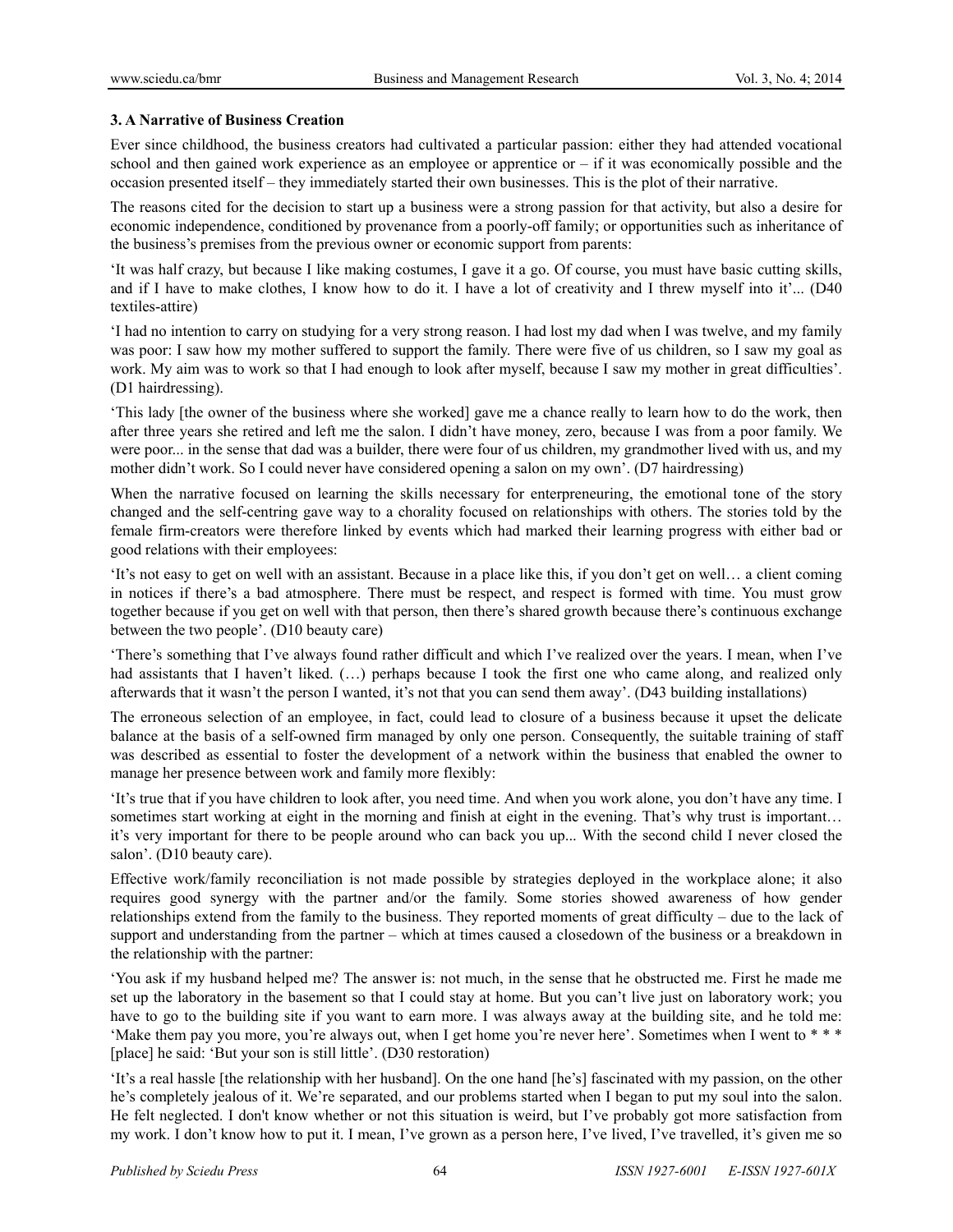#### **3. A Narrative of Business Creation**

Ever since childhood, the business creators had cultivated a particular passion: either they had attended vocational school and then gained work experience as an employee or apprentice or  $-$  if it was economically possible and the occasion presented itself – they immediately started their own businesses. This is the plot of their narrative.

The reasons cited for the decision to start up a business were a strong passion for that activity, but also a desire for economic independence, conditioned by provenance from a poorly-off family; or opportunities such as inheritance of the business's premises from the previous owner or economic support from parents:

'It was half crazy, but because I like making costumes, I gave it a go. Of course, you must have basic cutting skills, and if I have to make clothes, I know how to do it. I have a lot of creativity and I threw myself into it'... (D40 textiles-attire)

'I had no intention to carry on studying for a very strong reason. I had lost my dad when I was twelve, and my family was poor: I saw how my mother suffered to support the family. There were five of us children, so I saw my goal as work. My aim was to work so that I had enough to look after myself, because I saw my mother in great difficulties'. (D1 hairdressing).

'This lady [the owner of the business where she worked] gave me a chance really to learn how to do the work, then after three years she retired and left me the salon. I didn't have money, zero, because I was from a poor family. We were poor... in the sense that dad was a builder, there were four of us children, my grandmother lived with us, and my mother didn't work. So I could never have considered opening a salon on my own'. (D7 hairdressing)

When the narrative focused on learning the skills necessary for enterpreneuring, the emotional tone of the story changed and the self-centring gave way to a chorality focused on relationships with others. The stories told by the female firm-creators were therefore linked by events which had marked their learning progress with either bad or good relations with their employees:

'It's not easy to get on well with an assistant. Because in a place like this, if you don't get on well… a client coming in notices if there's a bad atmosphere. There must be respect, and respect is formed with time. You must grow together because if you get on well with that person, then there's shared growth because there's continuous exchange between the two people'. (D10 beauty care)

'There's something that I've always found rather difficult and which I've realized over the years. I mean, when I've had assistants that I haven't liked.  $($ ...) perhaps because I took the first one who came along, and realized only afterwards that it wasn't the person I wanted, it's not that you can send them away'. (D43 building installations)

The erroneous selection of an employee, in fact, could lead to closure of a business because it upset the delicate balance at the basis of a self-owned firm managed by only one person. Consequently, the suitable training of staff was described as essential to foster the development of a network within the business that enabled the owner to manage her presence between work and family more flexibly:

'It's true that if you have children to look after, you need time. And when you work alone, you don't have any time. I sometimes start working at eight in the morning and finish at eight in the evening. That's why trust is important… it's very important for there to be people around who can back you up... With the second child I never closed the salon'. (D10 beauty care).

Effective work/family reconciliation is not made possible by strategies deployed in the workplace alone; it also requires good synergy with the partner and/or the family. Some stories showed awareness of how gender relationships extend from the family to the business. They reported moments of great difficulty – due to the lack of support and understanding from the partner – which at times caused a closedown of the business or a breakdown in the relationship with the partner:

'You ask if my husband helped me? The answer is: not much, in the sense that he obstructed me. First he made me set up the laboratory in the basement so that I could stay at home. But you can't live just on laboratory work; you have to go to the building site if you want to earn more. I was always away at the building site, and he told me: 'Make them pay you more, you're always out, when I get home you're never here'. Sometimes when I went to \* \* \* [place] he said: 'But your son is still little'. (D30 restoration)

'It's a real hassle [the relationship with her husband]. On the one hand [he's] fascinated with my passion, on the other he's completely jealous of it. We're separated, and our problems started when I began to put my soul into the salon. He felt neglected. I don't know whether or not this situation is weird, but I've probably got more satisfaction from my work. I don't know how to put it. I mean, I've grown as a person here, I've lived, I've travelled, it's given me so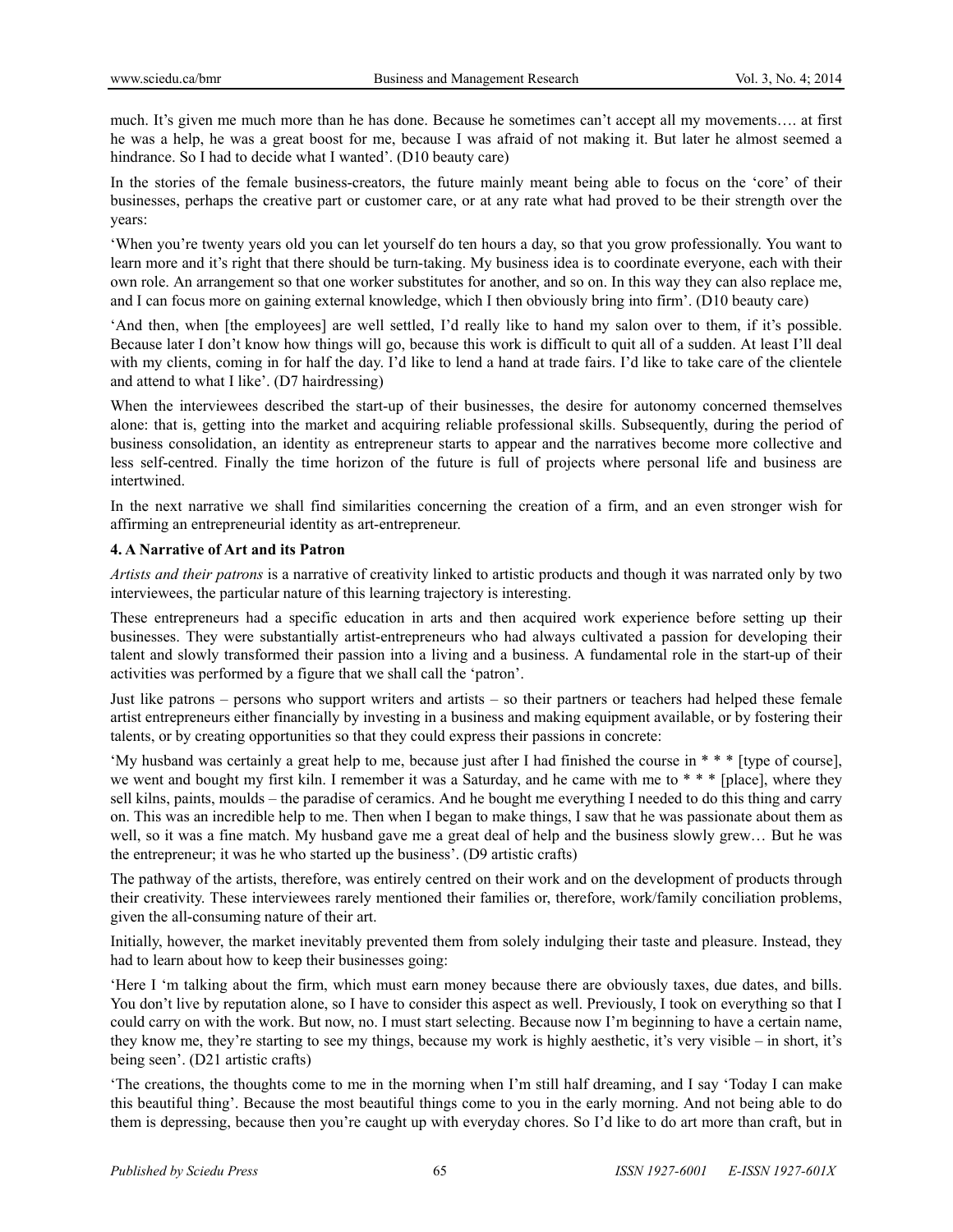much. It's given me much more than he has done. Because he sometimes can't accept all my movements…. at first he was a help, he was a great boost for me, because I was afraid of not making it. But later he almost seemed a hindrance. So I had to decide what I wanted'. (D10 beauty care)

In the stories of the female business-creators, the future mainly meant being able to focus on the 'core' of their businesses, perhaps the creative part or customer care, or at any rate what had proved to be their strength over the years:

'When you're twenty years old you can let yourself do ten hours a day, so that you grow professionally. You want to learn more and it's right that there should be turn-taking. My business idea is to coordinate everyone, each with their own role. An arrangement so that one worker substitutes for another, and so on. In this way they can also replace me, and I can focus more on gaining external knowledge, which I then obviously bring into firm'. (D10 beauty care)

'And then, when [the employees] are well settled, I'd really like to hand my salon over to them, if it's possible. Because later I don't know how things will go, because this work is difficult to quit all of a sudden. At least I'll deal with my clients, coming in for half the day. I'd like to lend a hand at trade fairs. I'd like to take care of the clientele and attend to what I like'. (D7 hairdressing)

When the interviewees described the start-up of their businesses, the desire for autonomy concerned themselves alone: that is, getting into the market and acquiring reliable professional skills. Subsequently, during the period of business consolidation, an identity as entrepreneur starts to appear and the narratives become more collective and less self-centred. Finally the time horizon of the future is full of projects where personal life and business are intertwined.

In the next narrative we shall find similarities concerning the creation of a firm, and an even stronger wish for affirming an entrepreneurial identity as art-entrepreneur.

### **4. A Narrative of Art and its Patron**

*Artists and their patrons* is a narrative of creativity linked to artistic products and though it was narrated only by two interviewees, the particular nature of this learning trajectory is interesting.

These entrepreneurs had a specific education in arts and then acquired work experience before setting up their businesses. They were substantially artist-entrepreneurs who had always cultivated a passion for developing their talent and slowly transformed their passion into a living and a business. A fundamental role in the start-up of their activities was performed by a figure that we shall call the 'patron'.

Just like patrons – persons who support writers and artists – so their partners or teachers had helped these female artist entrepreneurs either financially by investing in a business and making equipment available, or by fostering their talents, or by creating opportunities so that they could express their passions in concrete:

'My husband was certainly a great help to me, because just after I had finished the course in \* \* \* [type of course], we went and bought my first kiln. I remember it was a Saturday, and he came with me to \* \* \* [place], where they sell kilns, paints, moulds – the paradise of ceramics. And he bought me everything I needed to do this thing and carry on. This was an incredible help to me. Then when I began to make things, I saw that he was passionate about them as well, so it was a fine match. My husband gave me a great deal of help and the business slowly grew… But he was the entrepreneur; it was he who started up the business'. (D9 artistic crafts)

The pathway of the artists, therefore, was entirely centred on their work and on the development of products through their creativity. These interviewees rarely mentioned their families or, therefore, work/family conciliation problems, given the all-consuming nature of their art.

Initially, however, the market inevitably prevented them from solely indulging their taste and pleasure. Instead, they had to learn about how to keep their businesses going:

'Here I 'm talking about the firm, which must earn money because there are obviously taxes, due dates, and bills. You don't live by reputation alone, so I have to consider this aspect as well. Previously, I took on everything so that I could carry on with the work. But now, no. I must start selecting. Because now I'm beginning to have a certain name, they know me, they're starting to see my things, because my work is highly aesthetic, it's very visible – in short, it's being seen'. (D21 artistic crafts)

'The creations, the thoughts come to me in the morning when I'm still half dreaming, and I say 'Today I can make this beautiful thing'. Because the most beautiful things come to you in the early morning. And not being able to do them is depressing, because then you're caught up with everyday chores. So I'd like to do art more than craft, but in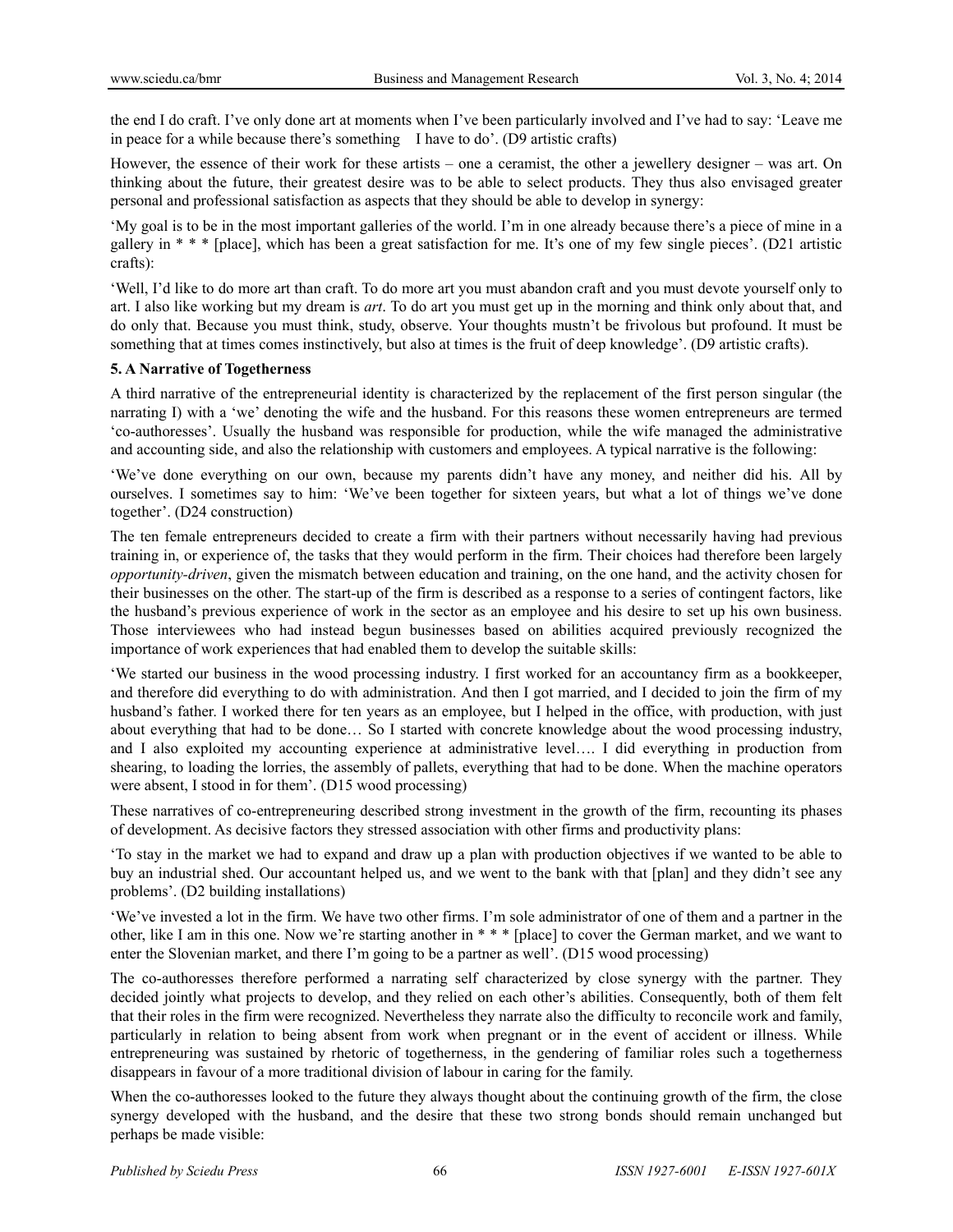the end I do craft. I've only done art at moments when I've been particularly involved and I've had to say: 'Leave me in peace for a while because there's something I have to do'. (D9 artistic crafts)

However, the essence of their work for these artists – one a ceramist, the other a jewellery designer – was art. On thinking about the future, their greatest desire was to be able to select products. They thus also envisaged greater personal and professional satisfaction as aspects that they should be able to develop in synergy:

'My goal is to be in the most important galleries of the world. I'm in one already because there's a piece of mine in a gallery in  $**$  \* [place], which has been a great satisfaction for me. It's one of my few single pieces'. (D21 artistic crafts):

'Well, I'd like to do more art than craft. To do more art you must abandon craft and you must devote yourself only to art. I also like working but my dream is *art*. To do art you must get up in the morning and think only about that, and do only that. Because you must think, study, observe. Your thoughts mustn't be frivolous but profound. It must be something that at times comes instinctively, but also at times is the fruit of deep knowledge'. (D9 artistic crafts).

### **5. A Narrative of Togetherness**

A third narrative of the entrepreneurial identity is characterized by the replacement of the first person singular (the narrating I) with a 'we' denoting the wife and the husband. For this reasons these women entrepreneurs are termed 'co-authoresses'. Usually the husband was responsible for production, while the wife managed the administrative and accounting side, and also the relationship with customers and employees. A typical narrative is the following:

'We've done everything on our own, because my parents didn't have any money, and neither did his. All by ourselves. I sometimes say to him: 'We've been together for sixteen years, but what a lot of things we've done together'. (D24 construction)

The ten female entrepreneurs decided to create a firm with their partners without necessarily having had previous training in, or experience of, the tasks that they would perform in the firm. Their choices had therefore been largely *opportunity-driven*, given the mismatch between education and training, on the one hand, and the activity chosen for their businesses on the other. The start-up of the firm is described as a response to a series of contingent factors, like the husband's previous experience of work in the sector as an employee and his desire to set up his own business. Those interviewees who had instead begun businesses based on abilities acquired previously recognized the importance of work experiences that had enabled them to develop the suitable skills:

'We started our business in the wood processing industry. I first worked for an accountancy firm as a bookkeeper, and therefore did everything to do with administration. And then I got married, and I decided to join the firm of my husband's father. I worked there for ten years as an employee, but I helped in the office, with production, with just about everything that had to be done… So I started with concrete knowledge about the wood processing industry, and I also exploited my accounting experience at administrative level…. I did everything in production from shearing, to loading the lorries, the assembly of pallets, everything that had to be done. When the machine operators were absent, I stood in for them'. (D15 wood processing)

These narratives of co-entrepreneuring described strong investment in the growth of the firm, recounting its phases of development. As decisive factors they stressed association with other firms and productivity plans:

'To stay in the market we had to expand and draw up a plan with production objectives if we wanted to be able to buy an industrial shed. Our accountant helped us, and we went to the bank with that [plan] and they didn't see any problems'. (D2 building installations)

'We've invested a lot in the firm. We have two other firms. I'm sole administrator of one of them and a partner in the other, like I am in this one. Now we're starting another in \* \* \* [place] to cover the German market, and we want to enter the Slovenian market, and there I'm going to be a partner as well'. (D15 wood processing)

The co-authoresses therefore performed a narrating self characterized by close synergy with the partner. They decided jointly what projects to develop, and they relied on each other's abilities. Consequently, both of them felt that their roles in the firm were recognized. Nevertheless they narrate also the difficulty to reconcile work and family, particularly in relation to being absent from work when pregnant or in the event of accident or illness. While entrepreneuring was sustained by rhetoric of togetherness, in the gendering of familiar roles such a togetherness disappears in favour of a more traditional division of labour in caring for the family.

When the co-authoresses looked to the future they always thought about the continuing growth of the firm, the close synergy developed with the husband, and the desire that these two strong bonds should remain unchanged but perhaps be made visible: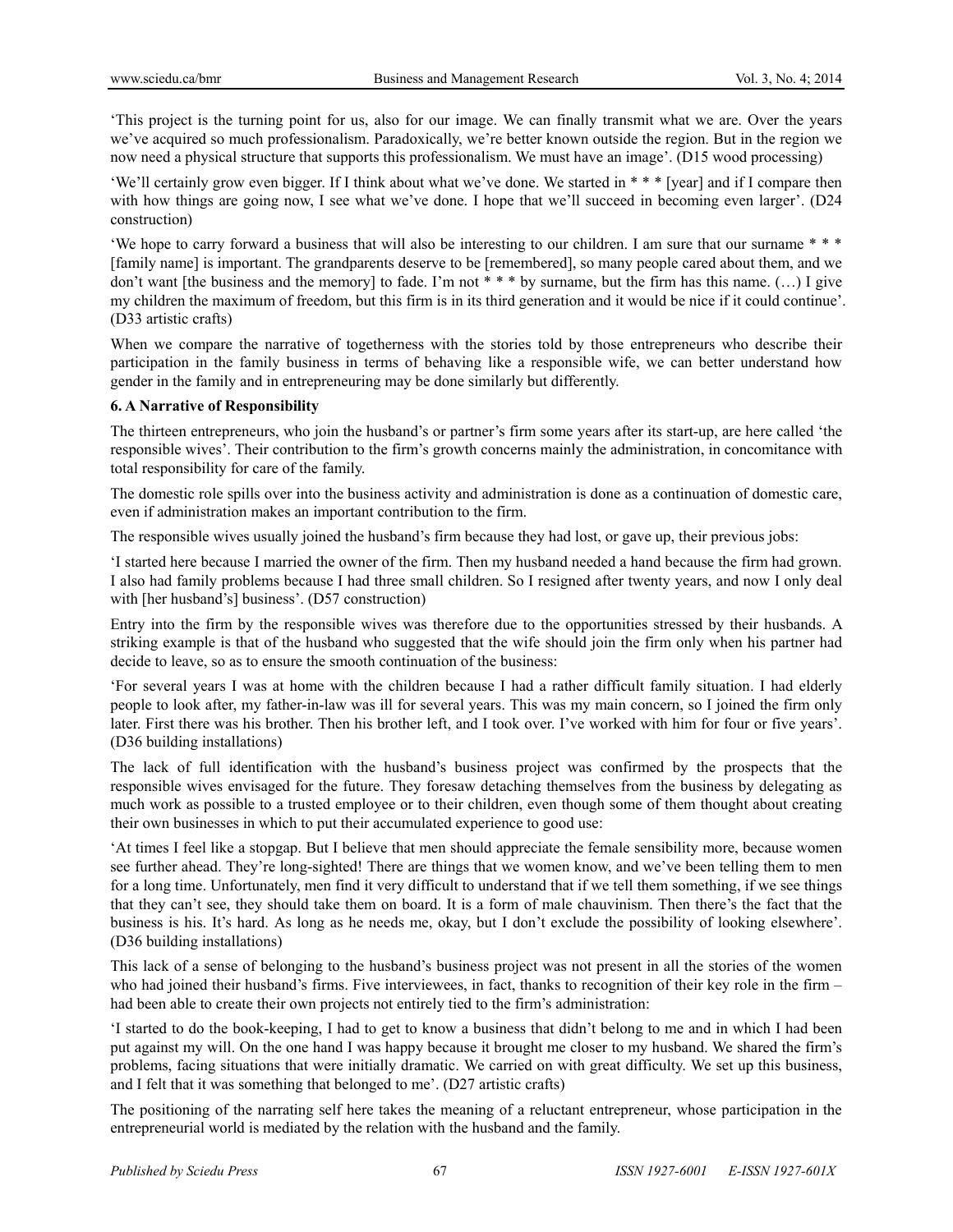'This project is the turning point for us, also for our image. We can finally transmit what we are. Over the years we've acquired so much professionalism. Paradoxically, we're better known outside the region. But in the region we now need a physical structure that supports this professionalism. We must have an image'. (D15 wood processing)

'We'll certainly grow even bigger. If I think about what we've done. We started in \* \* \* [year] and if I compare then with how things are going now, I see what we've done. I hope that we'll succeed in becoming even larger'. (D24 construction)

'We hope to carry forward a business that will also be interesting to our children. I am sure that our surname \* \* \* [family name] is important. The grandparents deserve to be [remembered], so many people cared about them, and we don't want [the business and the memory] to fade. I'm not \* \* \* by surname, but the firm has this name. (…) I give my children the maximum of freedom, but this firm is in its third generation and it would be nice if it could continue'. (D33 artistic crafts)

When we compare the narrative of togetherness with the stories told by those entrepreneurs who describe their participation in the family business in terms of behaving like a responsible wife, we can better understand how gender in the family and in entrepreneuring may be done similarly but differently.

### **6. A Narrative of Responsibility**

The thirteen entrepreneurs, who join the husband's or partner's firm some years after its start-up, are here called 'the responsible wives'. Their contribution to the firm's growth concerns mainly the administration, in concomitance with total responsibility for care of the family.

The domestic role spills over into the business activity and administration is done as a continuation of domestic care, even if administration makes an important contribution to the firm.

The responsible wives usually joined the husband's firm because they had lost, or gave up, their previous jobs:

'I started here because I married the owner of the firm. Then my husband needed a hand because the firm had grown. I also had family problems because I had three small children. So I resigned after twenty years, and now I only deal with [her husband's] business'. (D57 construction)

Entry into the firm by the responsible wives was therefore due to the opportunities stressed by their husbands. A striking example is that of the husband who suggested that the wife should join the firm only when his partner had decide to leave, so as to ensure the smooth continuation of the business:

'For several years I was at home with the children because I had a rather difficult family situation. I had elderly people to look after, my father-in-law was ill for several years. This was my main concern, so I joined the firm only later. First there was his brother. Then his brother left, and I took over. I've worked with him for four or five years'. (D36 building installations)

The lack of full identification with the husband's business project was confirmed by the prospects that the responsible wives envisaged for the future. They foresaw detaching themselves from the business by delegating as much work as possible to a trusted employee or to their children, even though some of them thought about creating their own businesses in which to put their accumulated experience to good use:

'At times I feel like a stopgap. But I believe that men should appreciate the female sensibility more, because women see further ahead. They're long-sighted! There are things that we women know, and we've been telling them to men for a long time. Unfortunately, men find it very difficult to understand that if we tell them something, if we see things that they can't see, they should take them on board. It is a form of male chauvinism. Then there's the fact that the business is his. It's hard. As long as he needs me, okay, but I don't exclude the possibility of looking elsewhere'. (D36 building installations)

This lack of a sense of belonging to the husband's business project was not present in all the stories of the women who had joined their husband's firms. Five interviewees, in fact, thanks to recognition of their key role in the firm – had been able to create their own projects not entirely tied to the firm's administration:

'I started to do the book-keeping, I had to get to know a business that didn't belong to me and in which I had been put against my will. On the one hand I was happy because it brought me closer to my husband. We shared the firm's problems, facing situations that were initially dramatic. We carried on with great difficulty. We set up this business, and I felt that it was something that belonged to me'. (D27 artistic crafts)

The positioning of the narrating self here takes the meaning of a reluctant entrepreneur, whose participation in the entrepreneurial world is mediated by the relation with the husband and the family.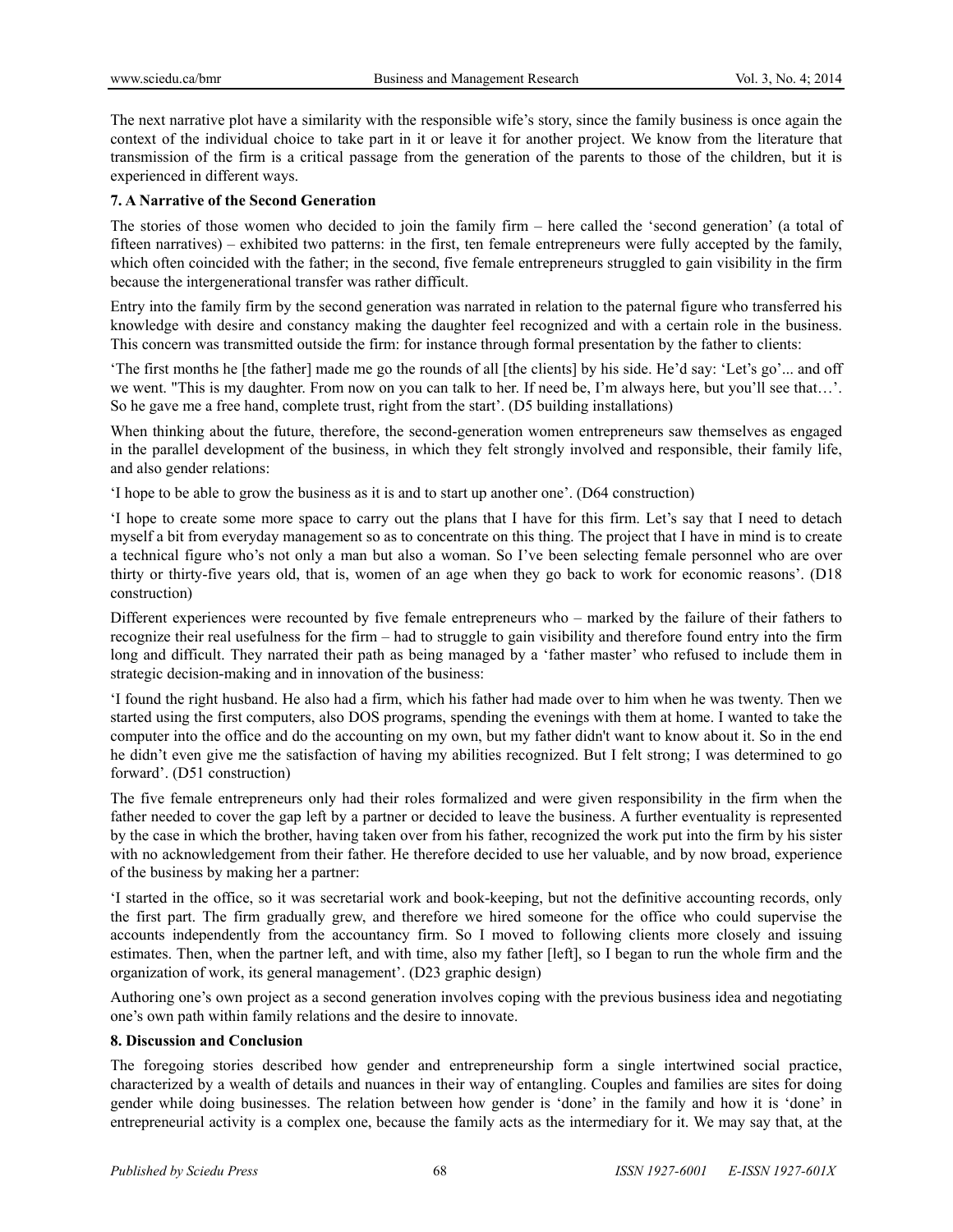The next narrative plot have a similarity with the responsible wife's story, since the family business is once again the context of the individual choice to take part in it or leave it for another project. We know from the literature that transmission of the firm is a critical passage from the generation of the parents to those of the children, but it is experienced in different ways.

## **7. A Narrative of the Second Generation**

The stories of those women who decided to join the family firm – here called the 'second generation' (a total of fifteen narratives) – exhibited two patterns: in the first, ten female entrepreneurs were fully accepted by the family, which often coincided with the father; in the second, five female entrepreneurs struggled to gain visibility in the firm because the intergenerational transfer was rather difficult.

Entry into the family firm by the second generation was narrated in relation to the paternal figure who transferred his knowledge with desire and constancy making the daughter feel recognized and with a certain role in the business. This concern was transmitted outside the firm: for instance through formal presentation by the father to clients:

'The first months he [the father] made me go the rounds of all [the clients] by his side. He'd say: 'Let's go'... and off we went. "This is my daughter. From now on you can talk to her. If need be, I'm always here, but you'll see that...'. So he gave me a free hand, complete trust, right from the start'. (D5 building installations)

When thinking about the future, therefore, the second-generation women entrepreneurs saw themselves as engaged in the parallel development of the business, in which they felt strongly involved and responsible, their family life, and also gender relations:

'I hope to be able to grow the business as it is and to start up another one'. (D64 construction)

'I hope to create some more space to carry out the plans that I have for this firm. Let's say that I need to detach myself a bit from everyday management so as to concentrate on this thing. The project that I have in mind is to create a technical figure who's not only a man but also a woman. So I've been selecting female personnel who are over thirty or thirty-five years old, that is, women of an age when they go back to work for economic reasons'. (D18 construction)

Different experiences were recounted by five female entrepreneurs who – marked by the failure of their fathers to recognize their real usefulness for the firm – had to struggle to gain visibility and therefore found entry into the firm long and difficult. They narrated their path as being managed by a 'father master' who refused to include them in strategic decision-making and in innovation of the business:

'I found the right husband. He also had a firm, which his father had made over to him when he was twenty. Then we started using the first computers, also DOS programs, spending the evenings with them at home. I wanted to take the computer into the office and do the accounting on my own, but my father didn't want to know about it. So in the end he didn't even give me the satisfaction of having my abilities recognized. But I felt strong; I was determined to go forward'. (D51 construction)

The five female entrepreneurs only had their roles formalized and were given responsibility in the firm when the father needed to cover the gap left by a partner or decided to leave the business. A further eventuality is represented by the case in which the brother, having taken over from his father, recognized the work put into the firm by his sister with no acknowledgement from their father. He therefore decided to use her valuable, and by now broad, experience of the business by making her a partner:

'I started in the office, so it was secretarial work and book-keeping, but not the definitive accounting records, only the first part. The firm gradually grew, and therefore we hired someone for the office who could supervise the accounts independently from the accountancy firm. So I moved to following clients more closely and issuing estimates. Then, when the partner left, and with time, also my father [left], so I began to run the whole firm and the organization of work, its general management'. (D23 graphic design)

Authoring one's own project as a second generation involves coping with the previous business idea and negotiating one's own path within family relations and the desire to innovate.

### **8. Discussion and Conclusion**

The foregoing stories described how gender and entrepreneurship form a single intertwined social practice, characterized by a wealth of details and nuances in their way of entangling. Couples and families are sites for doing gender while doing businesses. The relation between how gender is 'done' in the family and how it is 'done' in entrepreneurial activity is a complex one, because the family acts as the intermediary for it. We may say that, at the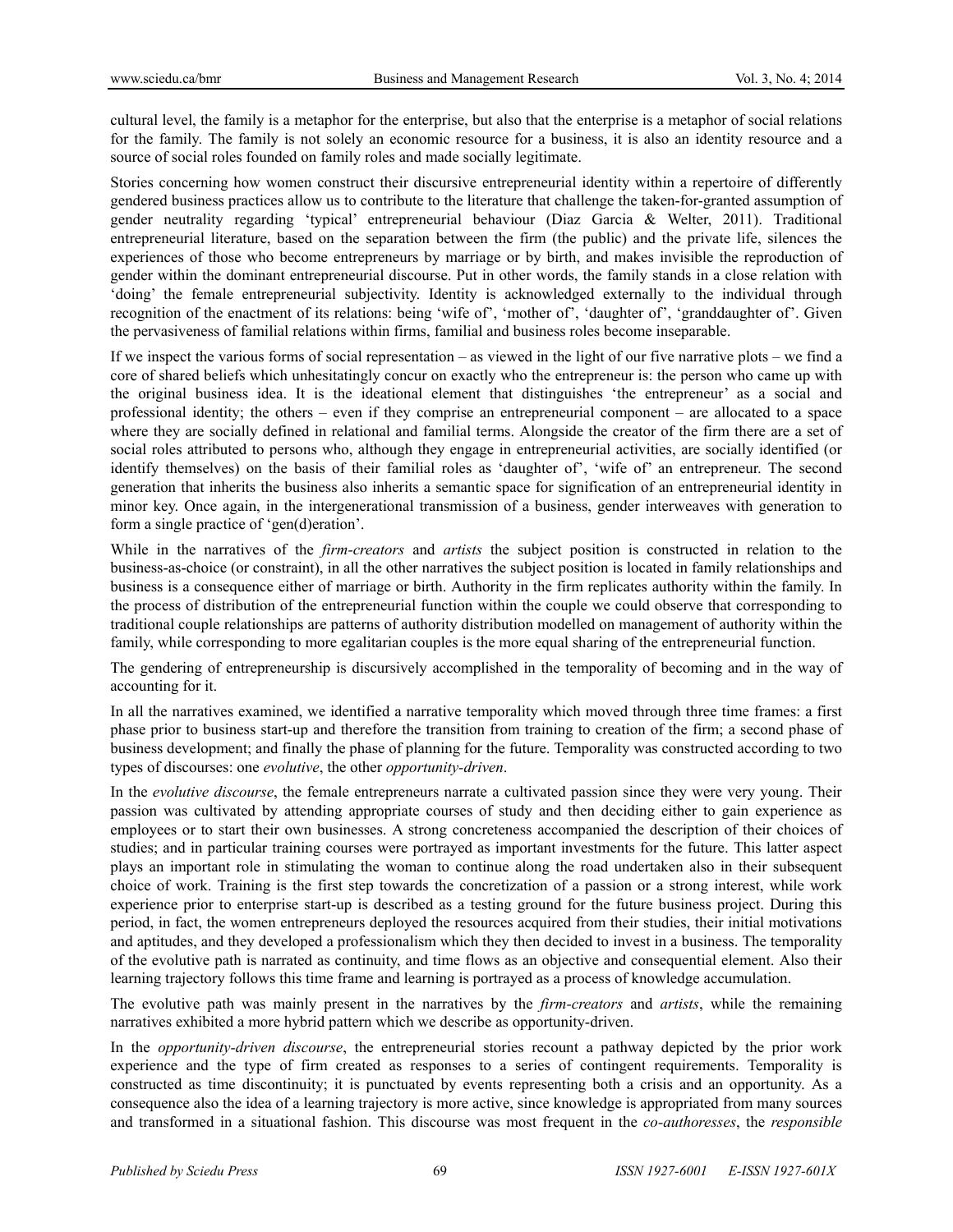cultural level, the family is a metaphor for the enterprise, but also that the enterprise is a metaphor of social relations for the family. The family is not solely an economic resource for a business, it is also an identity resource and a source of social roles founded on family roles and made socially legitimate.

Stories concerning how women construct their discursive entrepreneurial identity within a repertoire of differently gendered business practices allow us to contribute to the literature that challenge the taken-for-granted assumption of gender neutrality regarding 'typical' entrepreneurial behaviour (Diaz Garcia & Welter, 2011). Traditional entrepreneurial literature, based on the separation between the firm (the public) and the private life, silences the experiences of those who become entrepreneurs by marriage or by birth, and makes invisible the reproduction of gender within the dominant entrepreneurial discourse. Put in other words, the family stands in a close relation with 'doing' the female entrepreneurial subjectivity. Identity is acknowledged externally to the individual through recognition of the enactment of its relations: being 'wife of', 'mother of', 'daughter of', 'granddaughter of'. Given the pervasiveness of familial relations within firms, familial and business roles become inseparable.

If we inspect the various forms of social representation – as viewed in the light of our five narrative plots – we find a core of shared beliefs which unhesitatingly concur on exactly who the entrepreneur is: the person who came up with the original business idea. It is the ideational element that distinguishes 'the entrepreneur' as a social and professional identity; the others – even if they comprise an entrepreneurial component – are allocated to a space where they are socially defined in relational and familial terms. Alongside the creator of the firm there are a set of social roles attributed to persons who, although they engage in entrepreneurial activities, are socially identified (or identify themselves) on the basis of their familial roles as 'daughter of', 'wife of' an entrepreneur. The second generation that inherits the business also inherits a semantic space for signification of an entrepreneurial identity in minor key. Once again, in the intergenerational transmission of a business, gender interweaves with generation to form a single practice of 'gen(d)eration'.

While in the narratives of the *firm-creators* and *artists* the subject position is constructed in relation to the business-as-choice (or constraint), in all the other narratives the subject position is located in family relationships and business is a consequence either of marriage or birth. Authority in the firm replicates authority within the family. In the process of distribution of the entrepreneurial function within the couple we could observe that corresponding to traditional couple relationships are patterns of authority distribution modelled on management of authority within the family, while corresponding to more egalitarian couples is the more equal sharing of the entrepreneurial function.

The gendering of entrepreneurship is discursively accomplished in the temporality of becoming and in the way of accounting for it.

In all the narratives examined, we identified a narrative temporality which moved through three time frames: a first phase prior to business start-up and therefore the transition from training to creation of the firm; a second phase of business development; and finally the phase of planning for the future. Temporality was constructed according to two types of discourses: one *evolutive*, the other *opportunity-driven*.

In the *evolutive discourse*, the female entrepreneurs narrate a cultivated passion since they were very young. Their passion was cultivated by attending appropriate courses of study and then deciding either to gain experience as employees or to start their own businesses. A strong concreteness accompanied the description of their choices of studies; and in particular training courses were portrayed as important investments for the future. This latter aspect plays an important role in stimulating the woman to continue along the road undertaken also in their subsequent choice of work. Training is the first step towards the concretization of a passion or a strong interest, while work experience prior to enterprise start-up is described as a testing ground for the future business project. During this period, in fact, the women entrepreneurs deployed the resources acquired from their studies, their initial motivations and aptitudes, and they developed a professionalism which they then decided to invest in a business. The temporality of the evolutive path is narrated as continuity, and time flows as an objective and consequential element. Also their learning trajectory follows this time frame and learning is portrayed as a process of knowledge accumulation.

The evolutive path was mainly present in the narratives by the *firm-creators* and *artists*, while the remaining narratives exhibited a more hybrid pattern which we describe as opportunity-driven.

In the *opportunity-driven discourse*, the entrepreneurial stories recount a pathway depicted by the prior work experience and the type of firm created as responses to a series of contingent requirements. Temporality is constructed as time discontinuity; it is punctuated by events representing both a crisis and an opportunity. As a consequence also the idea of a learning trajectory is more active, since knowledge is appropriated from many sources and transformed in a situational fashion. This discourse was most frequent in the *co-authoresses*, the *responsible*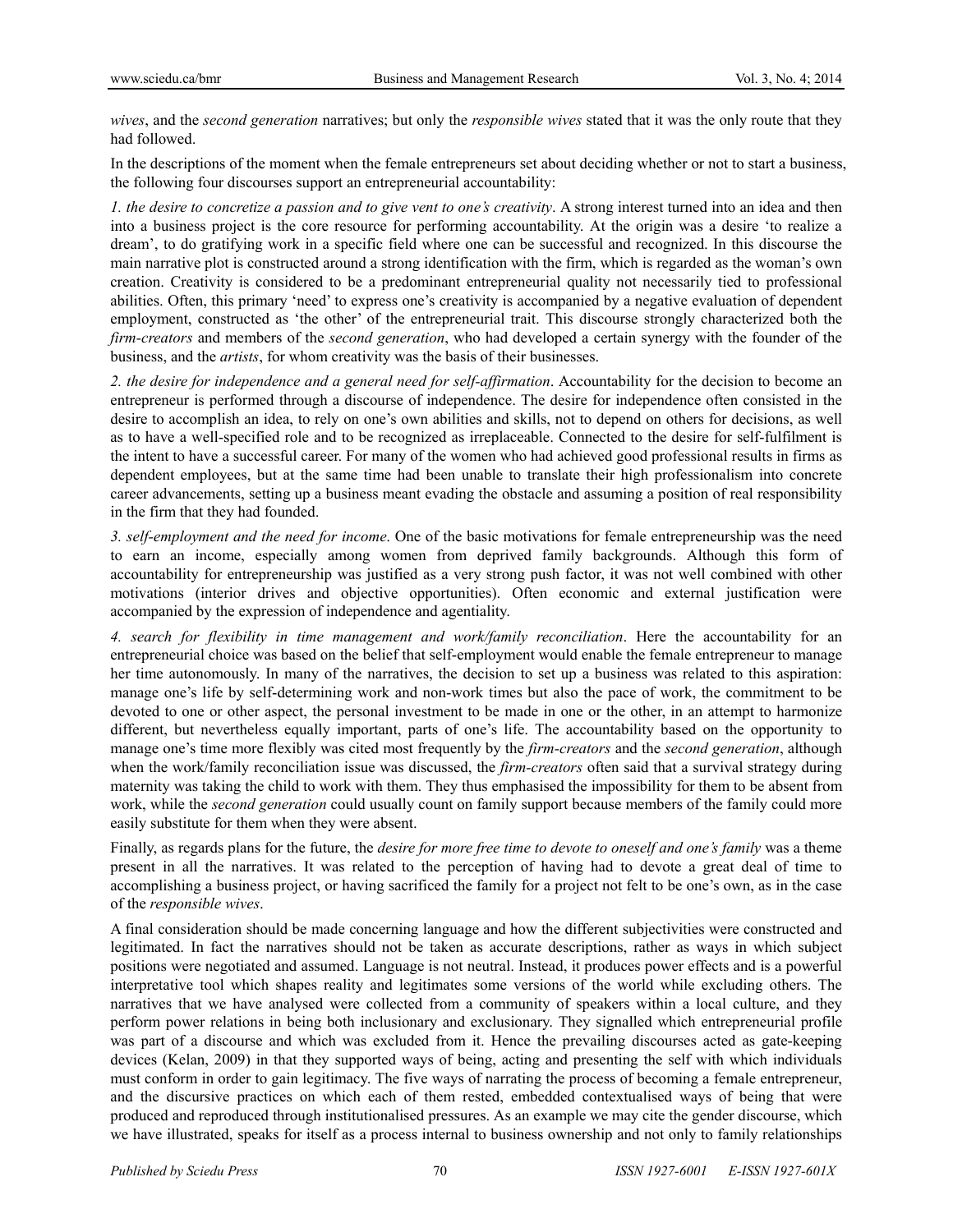*wives*, and the *second generation* narratives; but only the *responsible wives* stated that it was the only route that they had followed.

In the descriptions of the moment when the female entrepreneurs set about deciding whether or not to start a business, the following four discourses support an entrepreneurial accountability:

*1. the desire to concretize a passion and to give vent to one's creativity*. A strong interest turned into an idea and then into a business project is the core resource for performing accountability. At the origin was a desire 'to realize a dream', to do gratifying work in a specific field where one can be successful and recognized. In this discourse the main narrative plot is constructed around a strong identification with the firm, which is regarded as the woman's own creation. Creativity is considered to be a predominant entrepreneurial quality not necessarily tied to professional abilities. Often, this primary 'need' to express one's creativity is accompanied by a negative evaluation of dependent employment, constructed as 'the other' of the entrepreneurial trait. This discourse strongly characterized both the *firm-creators* and members of the *second generation*, who had developed a certain synergy with the founder of the business, and the *artists*, for whom creativity was the basis of their businesses.

*2. the desire for independence and a general need for self-affirmation*. Accountability for the decision to become an entrepreneur is performed through a discourse of independence. The desire for independence often consisted in the desire to accomplish an idea, to rely on one's own abilities and skills, not to depend on others for decisions, as well as to have a well-specified role and to be recognized as irreplaceable. Connected to the desire for self-fulfilment is the intent to have a successful career. For many of the women who had achieved good professional results in firms as dependent employees, but at the same time had been unable to translate their high professionalism into concrete career advancements, setting up a business meant evading the obstacle and assuming a position of real responsibility in the firm that they had founded.

*3. self-employment and the need for income*. One of the basic motivations for female entrepreneurship was the need to earn an income, especially among women from deprived family backgrounds. Although this form of accountability for entrepreneurship was justified as a very strong push factor, it was not well combined with other motivations (interior drives and objective opportunities). Often economic and external justification were accompanied by the expression of independence and agentiality.

*4. search for flexibility in time management and work/family reconciliation*. Here the accountability for an entrepreneurial choice was based on the belief that self-employment would enable the female entrepreneur to manage her time autonomously. In many of the narratives, the decision to set up a business was related to this aspiration: manage one's life by self-determining work and non-work times but also the pace of work, the commitment to be devoted to one or other aspect, the personal investment to be made in one or the other, in an attempt to harmonize different, but nevertheless equally important, parts of one's life. The accountability based on the opportunity to manage one's time more flexibly was cited most frequently by the *firm-creators* and the *second generation*, although when the work/family reconciliation issue was discussed, the *firm-creators* often said that a survival strategy during maternity was taking the child to work with them. They thus emphasised the impossibility for them to be absent from work, while the *second generation* could usually count on family support because members of the family could more easily substitute for them when they were absent.

Finally, as regards plans for the future, the *desire for more free time to devote to oneself and one's family* was a theme present in all the narratives. It was related to the perception of having had to devote a great deal of time to accomplishing a business project, or having sacrificed the family for a project not felt to be one's own, as in the case of the *responsible wives*.

A final consideration should be made concerning language and how the different subjectivities were constructed and legitimated. In fact the narratives should not be taken as accurate descriptions, rather as ways in which subject positions were negotiated and assumed. Language is not neutral. Instead, it produces power effects and is a powerful interpretative tool which shapes reality and legitimates some versions of the world while excluding others. The narratives that we have analysed were collected from a community of speakers within a local culture, and they perform power relations in being both inclusionary and exclusionary. They signalled which entrepreneurial profile was part of a discourse and which was excluded from it. Hence the prevailing discourses acted as gate-keeping devices (Kelan, 2009) in that they supported ways of being, acting and presenting the self with which individuals must conform in order to gain legitimacy. The five ways of narrating the process of becoming a female entrepreneur, and the discursive practices on which each of them rested, embedded contextualised ways of being that were produced and reproduced through institutionalised pressures. As an example we may cite the gender discourse, which we have illustrated, speaks for itself as a process internal to business ownership and not only to family relationships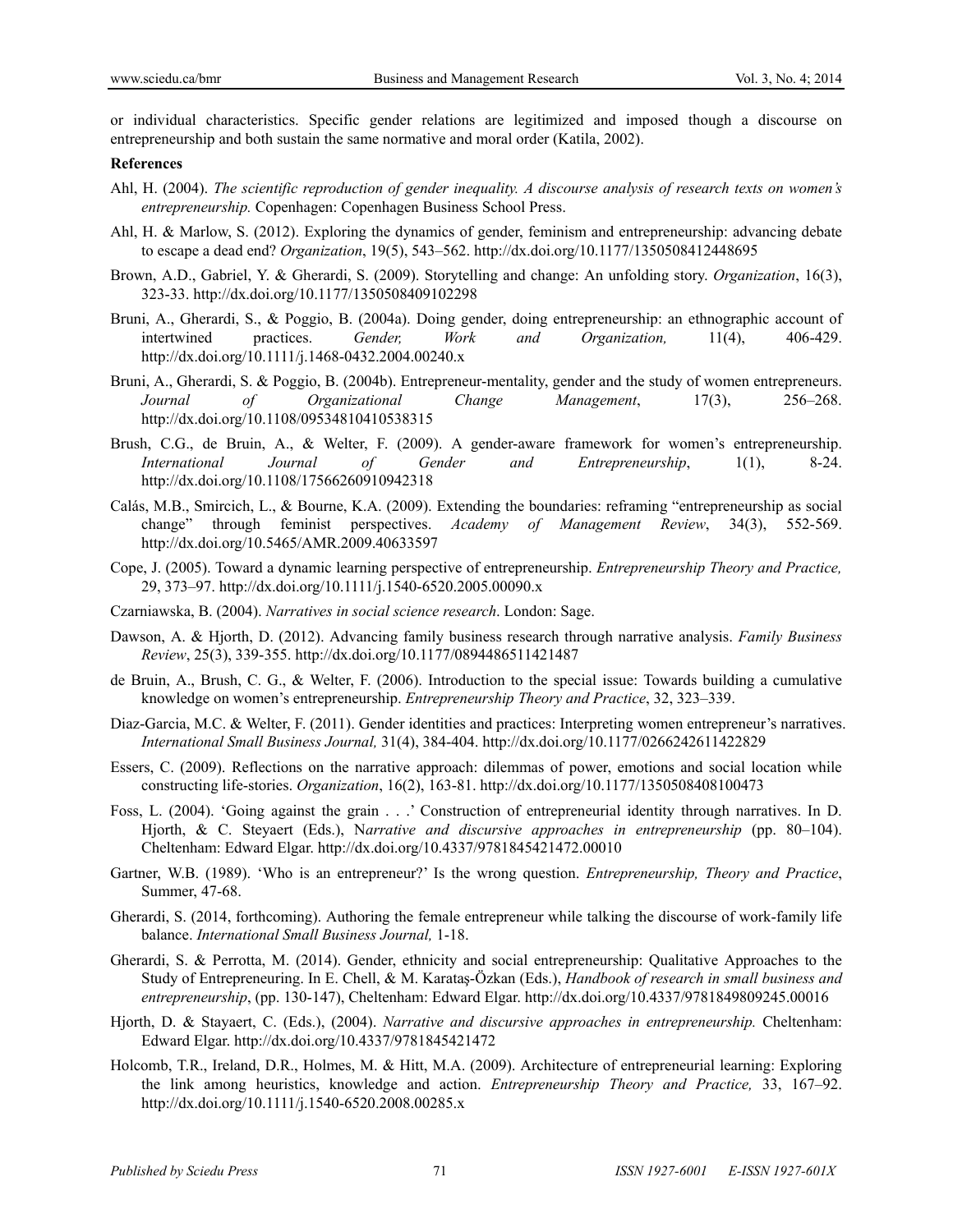or individual characteristics. Specific gender relations are legitimized and imposed though a discourse on entrepreneurship and both sustain the same normative and moral order (Katila, 2002).

#### **References**

- Ahl, H. (2004). *The scientific reproduction of gender inequality. A discourse analysis of research texts on women's entrepreneurship.* Copenhagen: Copenhagen Business School Press.
- Ahl, H. & Marlow, S. (2012). Exploring the dynamics of gender, feminism and entrepreneurship: advancing debate to escape a dead end? *Organization*, 19(5), 543–562. http://dx.doi.org/10.1177/1350508412448695
- Brown, A.D., Gabriel, Y. & Gherardi, S. (2009). Storytelling and change: An unfolding story. *Organization*, 16(3), 323-33. http://dx.doi.org/10.1177/1350508409102298
- Bruni, A., Gherardi, S., & Poggio, B. (2004a). Doing gender, doing entrepreneurship: an ethnographic account of intertwined practices. *Gender, Work and Organization,* 11(4), 406-429. http://dx.doi.org/10.1111/j.1468-0432.2004.00240.x
- Bruni, A., Gherardi, S. & Poggio, B. (2004b). Entrepreneur-mentality, gender and the study of women entrepreneurs. *Journal of Organizational Change Management*, 17(3), 256–268. http://dx.doi.org/10.1108/09534810410538315
- Brush, C.G., de Bruin, A., & Welter, F. (2009). A gender-aware framework for women's entrepreneurship. *International Journal of Gender and Entrepreneurship*, 1(1), 8-24. http://dx.doi.org/10.1108/17566260910942318
- Calás, M.B., Smircich, L., & Bourne, K.A. (2009). Extending the boundaries: reframing "entrepreneurship as social change" through feminist perspectives. *Academy of Management Review*, 34(3), 552-569. http://dx.doi.org/10.5465/AMR.2009.40633597
- Cope, J. (2005). Toward a dynamic learning perspective of entrepreneurship. *Entrepreneurship Theory and Practice,* 29, 373–97. http://dx.doi.org/10.1111/j.1540-6520.2005.00090.x
- Czarniawska, B. (2004). *Narratives in social science research*. London: Sage.
- Dawson, A. & Hjorth, D. (2012). Advancing family business research through narrative analysis. *Family Business Review*, 25(3), 339-355. http://dx.doi.org/10.1177/0894486511421487
- de Bruin, A., Brush, C. G., & Welter, F. (2006). Introduction to the special issue: Towards building a cumulative knowledge on women's entrepreneurship. *Entrepreneurship Theory and Practice*, 32, 323–339.
- Diaz-Garcia, M.C. & Welter, F. (2011). Gender identities and practices: Interpreting women entrepreneur's narratives. *International Small Business Journal,* 31(4), 384-404. http://dx.doi.org/10.1177/0266242611422829
- Essers, C. (2009). Reflections on the narrative approach: dilemmas of power, emotions and social location while constructing life-stories. *Organization*, 16(2), 163-81. http://dx.doi.org/10.1177/1350508408100473
- Foss, L. (2004). 'Going against the grain . . .' Construction of entrepreneurial identity through narratives. In D. Hjorth, & C. Steyaert (Eds.), N*arrative and discursive approaches in entrepreneurship* (pp. 80–104). Cheltenham: Edward Elgar. http://dx.doi.org/10.4337/9781845421472.00010
- Gartner, W.B. (1989). 'Who is an entrepreneur?' Is the wrong question. *Entrepreneurship, Theory and Practice*, Summer, 47-68.
- Gherardi, S. (2014, forthcoming). Authoring the female entrepreneur while talking the discourse of work-family life balance. *International Small Business Journal,* 1-18.
- Gherardi, S. & Perrotta, M. (2014). Gender, ethnicity and social entrepreneurship: Qualitative Approaches to the Study of Entrepreneuring. In E. Chell, & M. Karataş-Özkan (Eds.), *Handbook of research in small business and entrepreneurship*, (pp. 130-147), Cheltenham: Edward Elgar. http://dx.doi.org/10.4337/9781849809245.00016
- Hjorth, D. & Stayaert, C. (Eds.), (2004). *Narrative and discursive approaches in entrepreneurship.* Cheltenham: Edward Elgar. http://dx.doi.org/10.4337/9781845421472
- Holcomb, T.R., Ireland, D.R., Holmes, M. & Hitt, M.A. (2009). Architecture of entrepreneurial learning: Exploring the link among heuristics, knowledge and action. *Entrepreneurship Theory and Practice,* 33, 167–92. http://dx.doi.org/10.1111/j.1540-6520.2008.00285.x